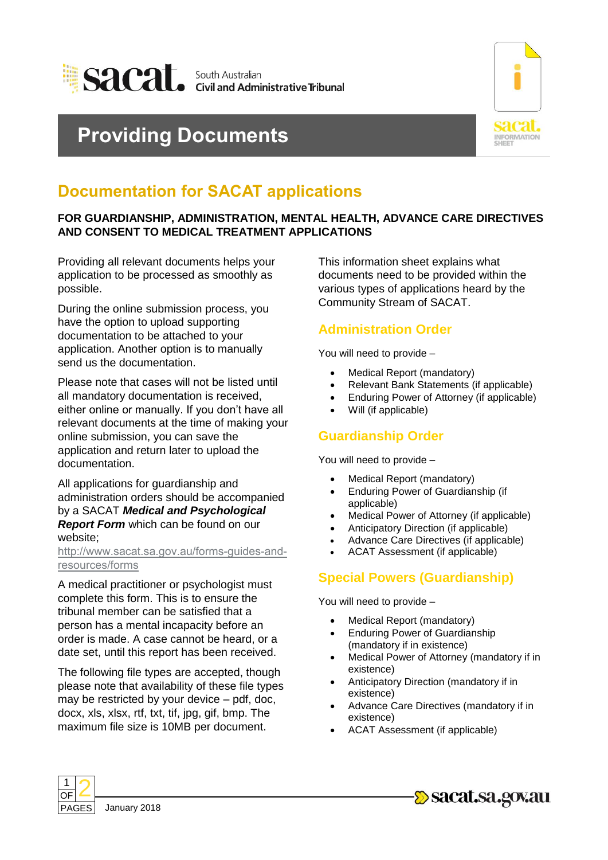

# **Providing Documents**



## **Documentation for SACAT applications**

#### **FOR GUARDIANSHIP, ADMINISTRATION, MENTAL HEALTH, ADVANCE CARE DIRECTIVES AND CONSENT TO MEDICAL TREATMENT APPLICATIONS**

Providing all relevant documents helps your application to be processed as smoothly as possible.

During the online submission process, you have the option to upload supporting documentation to be attached to your application. Another option is to manually send us the documentation.

Please note that cases will not be listed until all mandatory documentation is received, either online or manually. If you don't have all relevant documents at the time of making your online submission, you can save the application and return later to upload the documentation.

All applications for guardianship and administration orders should be accompanied by a SACAT *Medical and Psychological Report Form* which can be found on our website;

#### [http://www.sacat.sa.gov.au/forms-guides-and](http://www.sacat.sa.gov.au/forms-guides-and-resources/forms)resources/forms

A medical practitioner or psychologist must complete this form. This is to ensure the tribunal member can be satisfied that a person has a mental incapacity before an order is made. A case cannot be heard, or a date set, until this report has been received.

The following file types are accepted, though please note that availability of these file types may be restricted by your device – pdf, doc, docx, xls, xlsx, rtf, txt, tif, jpg, gif, bmp. The maximum file size is 10MB per document.

This information sheet explains what documents need to be provided within the various types of applications heard by the Community Stream of SACAT.

### **Administration Order**

You will need to provide –

- Medical Report (mandatory)
- Relevant Bank Statements (if applicable)
- Enduring Power of Attorney (if applicable)
- Will (if applicable)

#### **Guardianship Order**

You will need to provide –

- Medical Report (mandatory)
- Enduring Power of Guardianship (if applicable)
- Medical Power of Attorney (if applicable)
- Anticipatory Direction (if applicable)
- Advance Care Directives (if applicable)
- ACAT Assessment (if applicable)

## **Special Powers (Guardianship)**

You will need to provide –

- Medical Report (mandatory)
- Enduring Power of Guardianship (mandatory if in existence)
- Medical Power of Attorney (mandatory if in existence)
- Anticipatory Direction (mandatory if in existence)
- Advance Care Directives (mandatory if in existence)
- ACAT Assessment (if applicable)